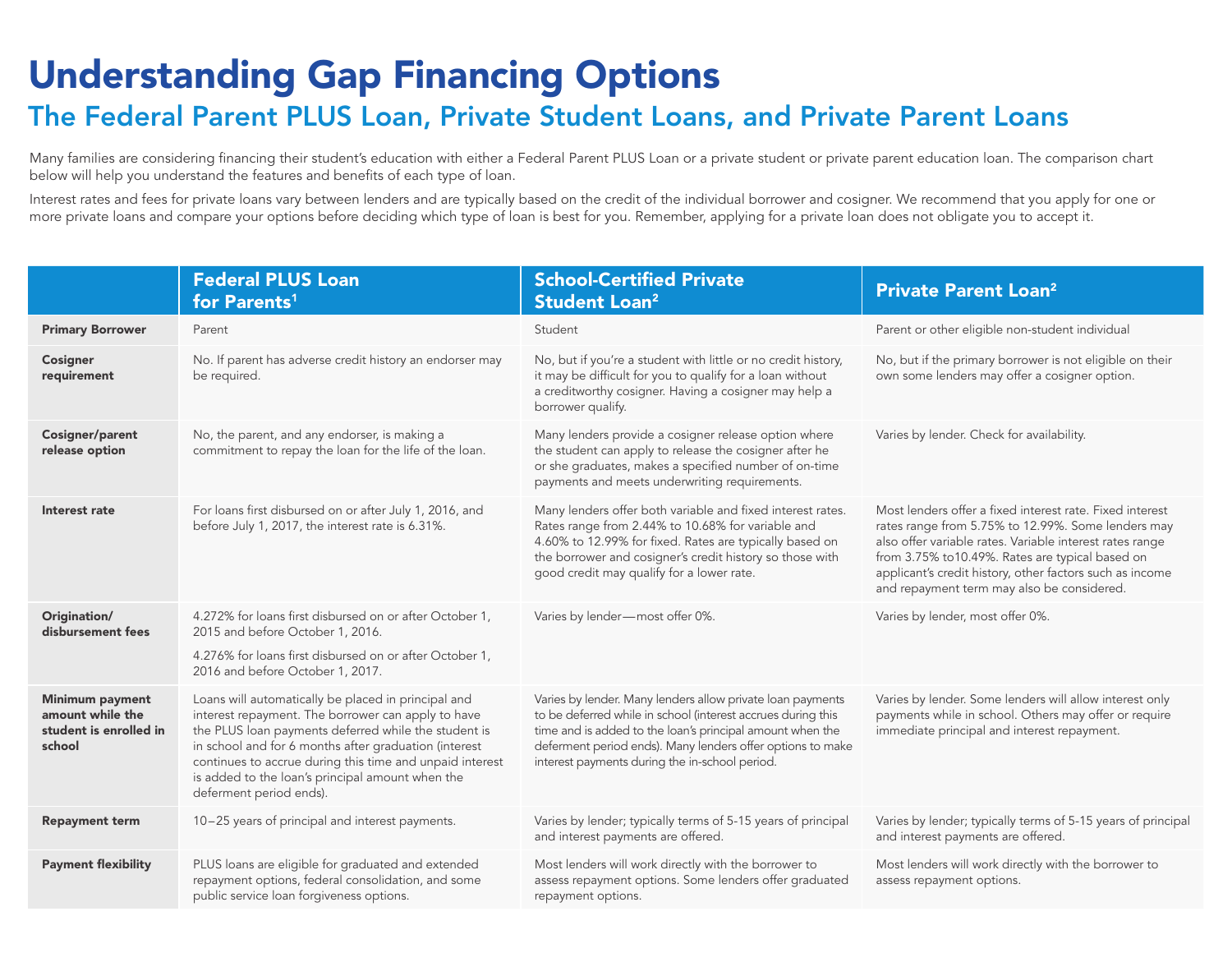## Understanding Gap Financing Options

## The Federal Parent PLUS Loan, Private Student Loans, and Private Parent Loans

Many families are considering financing their student's education with either a Federal Parent PLUS Loan or a private student or private parent education loan. The comparison chart below will help you understand the features and benefits of each type of loan.

Interest rates and fees for private loans vary between lenders and are typically based on the credit of the individual borrower and cosigner. We recommend that you apply for one or more private loans and compare your options before deciding which type of loan is best for you. Remember, applying for a private loan does not obligate you to accept it.

|                                                                                | <b>Federal PLUS Loan</b><br>for Parents <sup>1</sup>                                                                                                                                                                                                                                                                                                                  | <b>School-Certified Private</b><br><b>Student Loan<sup>2</sup></b>                                                                                                                                                                                                                                      | <b>Private Parent Loan<sup>2</sup></b>                                                                                                                                                                                                                                                                                                  |
|--------------------------------------------------------------------------------|-----------------------------------------------------------------------------------------------------------------------------------------------------------------------------------------------------------------------------------------------------------------------------------------------------------------------------------------------------------------------|---------------------------------------------------------------------------------------------------------------------------------------------------------------------------------------------------------------------------------------------------------------------------------------------------------|-----------------------------------------------------------------------------------------------------------------------------------------------------------------------------------------------------------------------------------------------------------------------------------------------------------------------------------------|
| <b>Primary Borrower</b>                                                        | Parent                                                                                                                                                                                                                                                                                                                                                                | Student                                                                                                                                                                                                                                                                                                 | Parent or other eligible non-student individual                                                                                                                                                                                                                                                                                         |
| <b>Cosigner</b><br>requirement                                                 | No. If parent has adverse credit history an endorser may<br>be required.                                                                                                                                                                                                                                                                                              | No, but if you're a student with little or no credit history,<br>it may be difficult for you to qualify for a loan without<br>a creditworthy cosigner. Having a cosigner may help a<br>borrower qualify.                                                                                                | No, but if the primary borrower is not eligible on their<br>own some lenders may offer a cosigner option.                                                                                                                                                                                                                               |
| Cosigner/parent<br>release option                                              | No, the parent, and any endorser, is making a<br>commitment to repay the loan for the life of the loan.                                                                                                                                                                                                                                                               | Many lenders provide a cosigner release option where<br>the student can apply to release the cosigner after he<br>or she graduates, makes a specified number of on-time<br>payments and meets underwriting requirements.                                                                                | Varies by lender. Check for availability.                                                                                                                                                                                                                                                                                               |
| Interest rate                                                                  | For loans first disbursed on or after July 1, 2016, and<br>before July 1, 2017, the interest rate is 6.31%.                                                                                                                                                                                                                                                           | Many lenders offer both variable and fixed interest rates.<br>Rates range from 2.44% to 10.68% for variable and<br>4.60% to 12.99% for fixed. Rates are typically based on<br>the borrower and cosigner's credit history so those with<br>good credit may qualify for a lower rate.                     | Most lenders offer a fixed interest rate. Fixed interest<br>rates range from 5.75% to 12.99%. Some lenders may<br>also offer variable rates. Variable interest rates range<br>from 3.75% to10.49%. Rates are typical based on<br>applicant's credit history, other factors such as income<br>and repayment term may also be considered. |
| Origination/<br>disbursement fees                                              | 4.272% for loans first disbursed on or after October 1,<br>2015 and before October 1, 2016.<br>4.276% for loans first disbursed on or after October 1,<br>2016 and before October 1, 2017.                                                                                                                                                                            | Varies by lender-most offer 0%.                                                                                                                                                                                                                                                                         | Varies by lender, most offer 0%.                                                                                                                                                                                                                                                                                                        |
| <b>Minimum payment</b><br>amount while the<br>student is enrolled in<br>school | Loans will automatically be placed in principal and<br>interest repayment. The borrower can apply to have<br>the PLUS loan payments deferred while the student is<br>in school and for 6 months after graduation (interest<br>continues to accrue during this time and unpaid interest<br>is added to the loan's principal amount when the<br>deferment period ends). | Varies by lender. Many lenders allow private loan payments<br>to be deferred while in school (interest accrues during this<br>time and is added to the loan's principal amount when the<br>deferment period ends). Many lenders offer options to make<br>interest payments during the in-school period. | Varies by lender. Some lenders will allow interest only<br>payments while in school. Others may offer or require<br>immediate principal and interest repayment.                                                                                                                                                                         |
| <b>Repayment term</b>                                                          | 10-25 years of principal and interest payments.                                                                                                                                                                                                                                                                                                                       | Varies by lender; typically terms of 5-15 years of principal<br>and interest payments are offered.                                                                                                                                                                                                      | Varies by lender; typically terms of 5-15 years of principal<br>and interest payments are offered.                                                                                                                                                                                                                                      |
| <b>Payment flexibility</b>                                                     | PLUS loans are eligible for graduated and extended<br>repayment options, federal consolidation, and some<br>public service loan forgiveness options.                                                                                                                                                                                                                  | Most lenders will work directly with the borrower to<br>assess repayment options. Some lenders offer graduated<br>repayment options.                                                                                                                                                                    | Most lenders will work directly with the borrower to<br>assess repayment options.                                                                                                                                                                                                                                                       |